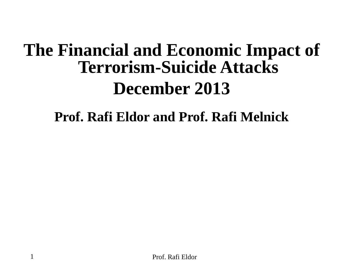### **The Financial and Economic Impact of Terrorism-Suicide Attacks December 2013**

### **Prof. Rafi Eldor and Prof. Rafi Melnick**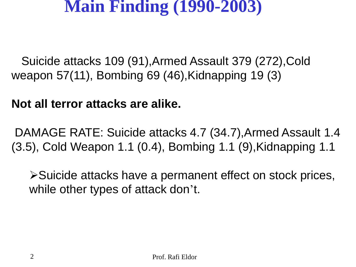### **Main Finding (1990-2003)**

 Suicide attacks 109 (91),Armed Assault 379 (272),Cold weapon 57(11), Bombing 69 (46),Kidnapping 19 (3)

### **Not all terror attacks are alike.**

DAMAGE RATE: Suicide attacks 4.7 (34.7),Armed Assault 1.4 (3.5), Cold Weapon 1.1 (0.4), Bombing 1.1 (9),Kidnapping 1.1

Suicide attacks have a permanent effect on stock prices, while other types of attack don't.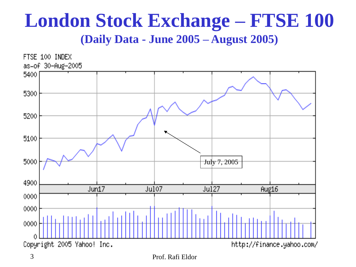### **London Stock Exchange – FTSE 100 (Daily Data - June 2005 – August 2005)**



<sup>3</sup> Prof. Rafi Eldor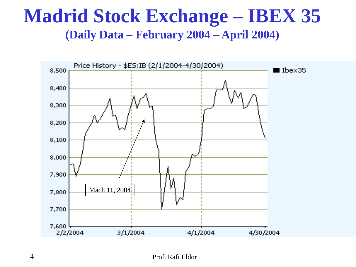### **Madrid Stock Exchange – IBEX 35 (Daily Data – February 2004 – April 2004)**

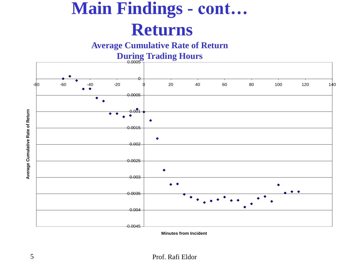# **Main Findings - cont… Returns**

**Average Cumulative Rate of Return** 

**During Trading Hours** 

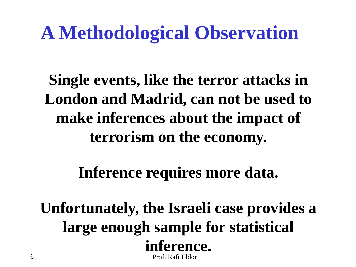# **A Methodological Observation**

**Single events, like the terror attacks in London and Madrid, can not be used to make inferences about the impact of terrorism on the economy.**

**Inference requires more data.**

6 Prof. Rafi Eldor **Unfortunately, the Israeli case provides a large enough sample for statistical inference.**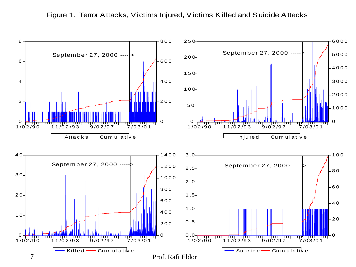

Figure 1. Terror Attacks, Victims Injured, Victims Killed and Suicide Attacks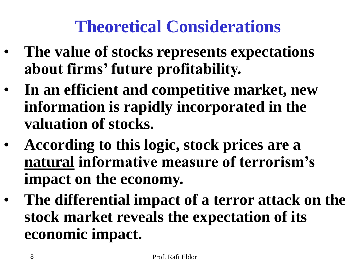### **Theoretical Considerations**

- **The value of stocks represents expectations about firms' future profitability.**
- **In an efficient and competitive market, new information is rapidly incorporated in the valuation of stocks.**
- **According to this logic, stock prices are a natural informative measure of terrorism's impact on the economy.**
- **The differential impact of a terror attack on the stock market reveals the expectation of its economic impact.**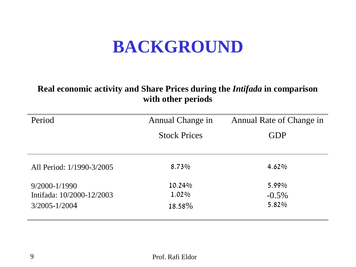### **BACKGROUND**

#### **Real economic activity and Share Prices during the** *Intifada* **in comparison with other periods**

| Period                    | Annual Change in    | Annual Rate of Change in |
|---------------------------|---------------------|--------------------------|
|                           | <b>Stock Prices</b> | <b>GDP</b>               |
|                           |                     |                          |
| All Period: 1/1990-3/2005 | 8.73%               | 4.62%                    |
| $9/2000 - 1/1990$         | 10.24%              | 5.99%                    |
| Intifada: 10/2000-12/2003 | 1.02%               | $-0.5\%$                 |
| $3/2005 - 1/2004$         | 18.58%              | 5.82%                    |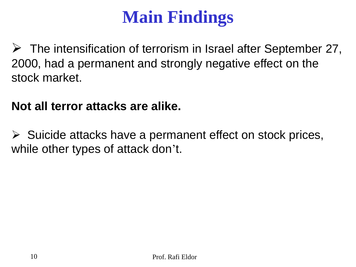# **Main Findings**

 $\triangleright$  The intensification of terrorism in Israel after September 27, 2000, had a permanent and strongly negative effect on the stock market.

### **Not all terror attacks are alike.**

 $\triangleright$  Suicide attacks have a permanent effect on stock prices, while other types of attack don't.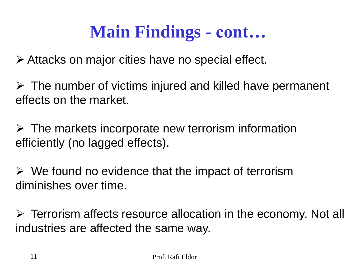### **Main Findings - cont…**

Attacks on major cities have no special effect.

 $\triangleright$  The number of victims injured and killed have permanent effects on the market.

 $\triangleright$  The markets incorporate new terrorism information efficiently (no lagged effects).

 $\triangleright$  We found no evidence that the impact of terrorism diminishes over time.

 $\triangleright$  Terrorism affects resource allocation in the economy. Not all industries are affected the same way.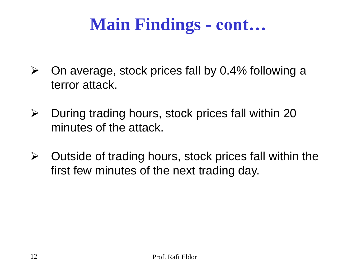### **Main Findings - cont…**

- $\triangleright$  On average, stock prices fall by 0.4% following a terror attack.
- $\triangleright$  During trading hours, stock prices fall within 20 minutes of the attack.
- $\triangleright$  Outside of trading hours, stock prices fall within the first few minutes of the next trading day.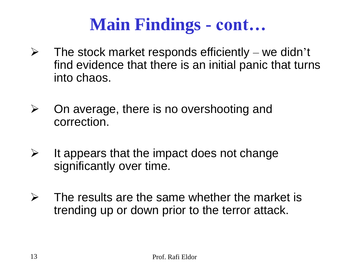### **Main Findings - cont…**

- $\triangleright$  The stock market responds efficiently we didn't find evidence that there is an initial panic that turns into chaos.
- $\triangleright$  On average, there is no overshooting and correction.
- $\triangleright$  It appears that the impact does not change significantly over time.
- $\triangleright$  The results are the same whether the market is trending up or down prior to the terror attack.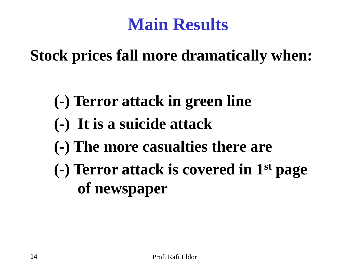### **Main Results**

**Stock prices fall more dramatically when:**

- **(-) Terror attack in green line**
- **(-) It is a suicide attack**
- **(-) The more casualties there are**
- **(-) Terror attack is covered in 1 st page of newspaper**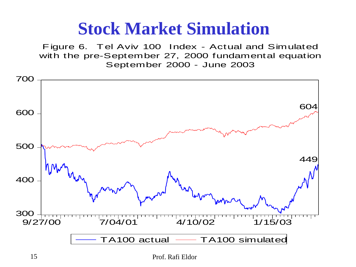### **Stock Market Simulation**

Figure 6. Tel Aviv 100 Index - Actual and Simulated with the pre-September 27, 2000 fundamental equation September 2000 - June 2003